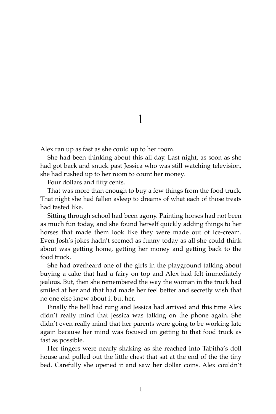Alex ran up as fast as she could up to her room.

She had been thinking about this all day. Last night, as soon as she had got back and snuck past Jessica who was still watching television, she had rushed up to her room to count her money.

Four dollars and fifty cents.

That was more than enough to buy a few things from the food truck. That night she had fallen asleep to dreams of what each of those treats had tasted like.

Sitting through school had been agony. Painting horses had not been as much fun today, and she found herself quickly adding things to her horses that made them look like they were made out of ice-cream. Even Josh's jokes hadn't seemed as funny today as all she could think about was getting home, getting her money and getting back to the food truck.

She had overheard one of the girls in the playground talking about buying a cake that had a fairy on top and Alex had felt immediately jealous. But, then she remembered the way the woman in the truck had smiled at her and that had made her feel better and secretly wish that no one else knew about it but her.

Finally the bell had rung and Jessica had arrived and this time Alex didn't really mind that Jessica was talking on the phone again. She didn't even really mind that her parents were going to be working late again because her mind was focused on getting to that food truck as fast as possible.

Her fingers were nearly shaking as she reached into Tabitha's doll house and pulled out the little chest that sat at the end of the the tiny bed. Carefully she opened it and saw her dollar coins. Alex couldn't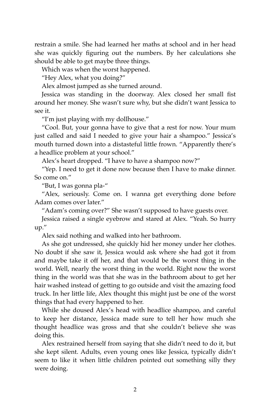restrain a smile. She had learned her maths at school and in her head she was quickly figuring out the numbers. By her calculations she should be able to get maybe three things.

Which was when the worst happened.

"Hey Alex, what you doing?"

Alex almost jumped as she turned around.

Jessica was standing in the doorway. Alex closed her small fist around her money. She wasn't sure why, but she didn't want Jessica to see it.

"I'm just playing with my dollhouse."

"Cool. But, your gonna have to give that a rest for now. Your mum just called and said I needed to give your hair a shampoo." Jessica's mouth turned down into a distasteful little frown. "Apparently there's a headlice problem at your school."

Alex's heart dropped. "I have to have a shampoo now?"

"Yep. I need to get it done now because then I have to make dinner. So come on."

"But, I was gonna pla-"

"Alex, seriously. Come on. I wanna get everything done before Adam comes over later."

"Adam's coming over?" She wasn't supposed to have guests over.

Jessica raised a single eyebrow and stared at Alex. "Yeah. So hurry up."

Alex said nothing and walked into her bathroom.

As she got undressed, she quickly hid her money under her clothes. No doubt if she saw it, Jessica would ask where she had got it from and maybe take it off her, and that would be the worst thing in the world. Well, nearly the worst thing in the world. Right now the worst thing in the world was that she was in the bathroom about to get her hair washed instead of getting to go outside and visit the amazing food truck. In her little life, Alex thought this might just be one of the worst things that had every happened to her.

While she doused Alex's head with headlice shampoo, and careful to keep her distance, Jessica made sure to tell her how much she thought headlice was gross and that she couldn't believe she was doing this.

Alex restrained herself from saying that she didn't need to do it, but she kept silent. Adults, even young ones like Jessica, typically didn't seem to like it when little children pointed out something silly they were doing.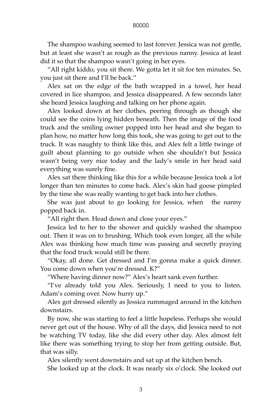The shampoo washing seemed to last forever. Jessica was not gentle, but at least she wasn't as rough as the previous nanny. Jessica at least did it so that the shampoo wasn't going in her eyes.

"All right kiddo, you sit there. We gotta let it sit for ten minutes. So, you just sit there and I'll be back."

Alex sat on the edge of the bath wrapped in a towel, her head covered in lice shampoo, and Jessica disappeared. A few seconds later she heard Jessica laughing and talking on her phone again.

Alex looked down at her clothes, peering through as though she could see the coins lying hidden beneath. Then the image of the food truck and the smiling owner popped into her head and she began to plan how, no matter how long this took, she was going to get out to the truck. It was naughty to think like this, and Alex felt a little twinge of guilt about planning to go outside when she shouldn't but Jessica wasn't being very nice today and the lady's smile in her head said everything was surely fine.

Alex sat there thinking like this for a while because Jessica took a lot longer than ten minutes to come back. Alex's skin had goose pimpled by the time she was really wanting to get back into her clothes.

She was just about to go looking for Jessica, when the nanny popped back in.

"All right then. Head down and close your eyes."

Jessica led to her to the shower and quickly washed the shampoo out. Then it was on to brushing. Which took even longer, all the while Alex was thinking how much time was passing and secretly praying that the food truck would still be there.

"Okay, all done. Get dressed and I'm gonna make a quick dinner. You come down when you're dressed. K?"

"Where having dinner now?" Alex's heart sank even further.

"I've already told you Alex. Seriously, I need to you to listen. Adam's coming over. Now hurry up."

Alex got dressed silently as Jessica rummaged around in the kitchen downstairs.

By now, she was starting to feel a little hopeless. Perhaps she would never get out of the house. Why of all the days, did Jessica need to not be watching TV today, like she did every other day. Alex almost felt like there was something trying to stop her from getting outside. But, that was silly.

Alex silently went downstairs and sat up at the kitchen bench.

She looked up at the clock. It was nearly six o'clock. She looked out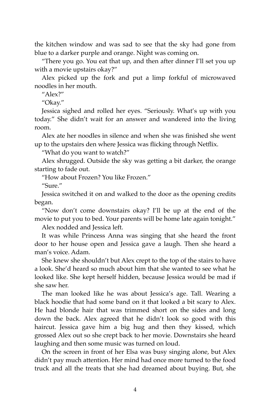the kitchen window and was sad to see that the sky had gone from blue to a darker purple and orange. Night was coming on.

"There you go. You eat that up, and then after dinner I'll set you up with a movie upstairs okay?"

Alex picked up the fork and put a limp forkful of microwaved noodles in her mouth.

" $Alex2"$ 

"Okay."

Jessica sighed and rolled her eyes. "Seriously. What's up with you today." She didn't wait for an answer and wandered into the living room.

Alex ate her noodles in silence and when she was finished she went up to the upstairs den where Jessica was flicking through Netflix.

"What do you want to watch?"

Alex shrugged. Outside the sky was getting a bit darker, the orange starting to fade out.

"How about Frozen? You like Frozen."

"Sure."

Jessica switched it on and walked to the door as the opening credits began.

"Now don't come downstairs okay? I'll be up at the end of the movie to put you to bed. Your parents will be home late again tonight."

Alex nodded and Jessica left.

It was while Princess Anna was singing that she heard the front door to her house open and Jessica gave a laugh. Then she heard a man's voice. Adam.

She knew she shouldn't but Alex crept to the top of the stairs to have a look. She'd heard so much about him that she wanted to see what he looked like. She kept herself hidden, because Jessica would be mad if she saw her.

The man looked like he was about Jessica's age. Tall. Wearing a black hoodie that had some band on it that looked a bit scary to Alex. He had blonde hair that was trimmed short on the sides and long down the back. Alex agreed that he didn't look so good with this haircut. Jessica gave him a big hug and then they kissed, which grossed Alex out so she crept back to her movie. Downstairs she heard laughing and then some music was turned on loud.

On the screen in front of her Elsa was busy singing alone, but Alex didn't pay much attention. Her mind had once more turned to the food truck and all the treats that she had dreamed about buying. But, she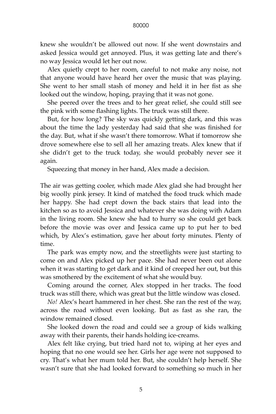knew she wouldn't be allowed out now. If she went downstairs and asked Jessica would get annoyed. Plus, it was getting late and there's no way Jessica would let her out now.

Alex quietly crept to her room, careful to not make any noise, not that anyone would have heard her over the music that was playing. She went to her small stash of money and held it in her fist as she looked out the window, hoping, praying that it was not gone.

She peered over the trees and to her great relief, she could still see the pink with some flashing lights. The truck was still there.

But, for how long? The sky was quickly getting dark, and this was about the time the lady yesterday had said that she was finished for the day. But, what if she wasn't there tomorrow. What if tomorrow she drove somewhere else to sell all her amazing treats. Alex knew that if she didn't get to the truck today, she would probably never see it again.

Squeezing that money in her hand, Alex made a decision.

The air was getting cooler, which made Alex glad she had brought her big woolly pink jersey. It kind of matched the food truck which made her happy. She had crept down the back stairs that lead into the kitchen so as to avoid Jessica and whatever she was doing with Adam in the living room. She knew she had to hurry so she could get back before the movie was over and Jessica came up to put her to bed which, by Alex's estimation, gave her about forty minutes. Plenty of time.

The park was empty now, and the streetlights were just starting to come on and Alex picked up her pace. She had never been out alone when it was starting to get dark and it kind of creeped her out, but this was smothered by the excitement of what she would buy.

Coming around the corner, Alex stopped in her tracks. The food truck was still there, which was great but the little window was closed.

*No!* Alex's heart hammered in her chest. She ran the rest of the way, across the road without even looking. But as fast as she ran, the window remained closed.

She looked down the road and could see a group of kids walking away with their parents, their hands holding ice-creams.

Alex felt like crying, but tried hard not to, wiping at her eyes and hoping that no one would see her. Girls her age were not supposed to cry. That's what her mum told her. But, she couldn't help herself. She wasn't sure that she had looked forward to something so much in her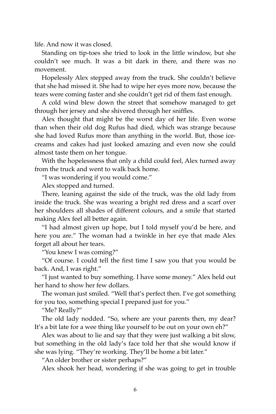life. And now it was closed.

Standing on tip-toes she tried to look in the little window, but she couldn't see much. It was a bit dark in there, and there was no movement.

Hopelessly Alex stepped away from the truck. She couldn't believe that she had missed it. She had to wipe her eyes more now, because the tears were coming faster and she couldn't get rid of them fast enough.

A cold wind blew down the street that somehow managed to get through her jersey and she shivered through her sniffles.

Alex thought that might be the worst day of her life. Even worse than when their old dog Rufus had died, which was strange because she had loved Rufus more than anything in the world. But, those icecreams and cakes had just looked amazing and even now she could almost taste them on her tongue.

With the hopelessness that only a child could feel, Alex turned away from the truck and went to walk back home.

"I was wondering if you would come."

Alex stopped and turned.

There, leaning against the side of the truck, was the old lady from inside the truck. She was wearing a bright red dress and a scarf over her shoulders all shades of different colours, and a smile that started making Alex feel all better again.

"I had almost given up hope, but I told myself you'd be here, and here you are." The woman had a twinkle in her eye that made Alex forget all about her tears.

"You knew I was coming?"

"Of course. I could tell the first time I saw you that you would be back. And, I was right."

"I just wanted to buy something. I have some money." Alex held out her hand to show her few dollars.

The woman just smiled. "Well that's perfect then. I've got something for you too, something special I prepared just for you."

"Me? Really?"

The old lady nodded. "So, where are your parents then, my dear? It's a bit late for a wee thing like yourself to be out on your own eh?"

Alex was about to lie and say that they were just walking a bit slow, but something in the old lady's face told her that she would know if she was lying. "They're working. They'll be home a bit later."

"An older brother or sister perhaps?"

Alex shook her head, wondering if she was going to get in trouble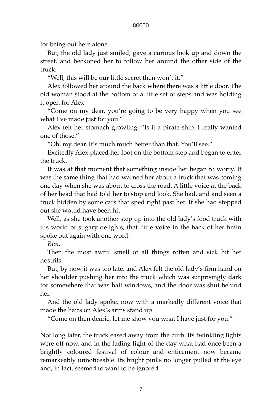for being out here alone.

But, the old lady just smiled, gave a curious look up and down the street, and beckoned her to follow her around the other side of the truck.

"Well, this will be our little secret then won't it."

Alex followed her around the back where there was a little door. The old woman stood at the bottom of a little set of steps and was holding it open for Alex.

"Come on my dear, you're going to be very happy when you see what I've made just for you."

Alex felt her stomach growling. "Is it a pirate ship. I really wanted one of those."

"Oh, my dear. It's much much better than that. You'll see."

Excitedly Alex placed her foot on the bottom step and began to enter the truck.

It was at that moment that something inside her began to worry. It was the same thing that had warned her about a truck that was coming one day when she was about to cross the road. A little voice at the back of her head that had told her to stop and look. She had, and and seen a truck hidden by some cars that sped right past her. If she had stepped out she would have been hit.

Well, as she took another step up into the old lady's food truck with it's world of sugary delights, that little voice in the back of her brain spoke out again with one word.

*Run.*

Then the most awful smell of all things rotten and sick hit her nostrils.

But, by now it was too late, and Alex felt the old lady's firm hand on her shoulder pushing her into the truck which was surprisingly dark for somewhere that was half windows, and the door was shut behind her.

And the old lady spoke, now with a markedly different voice that made the hairs on Alex's arms stand up.

"Come on then dearie, let me show you what I have just for you."

Not long later, the truck eased away from the curb. Its twinkling lights were off now, and in the fading light of the day what had once been a brightly coloured festival of colour and enticement now became remarkeably unnoticeable. Its bright pinks no longer pulled at the eye and, in fact, seemed to want to be ignored.